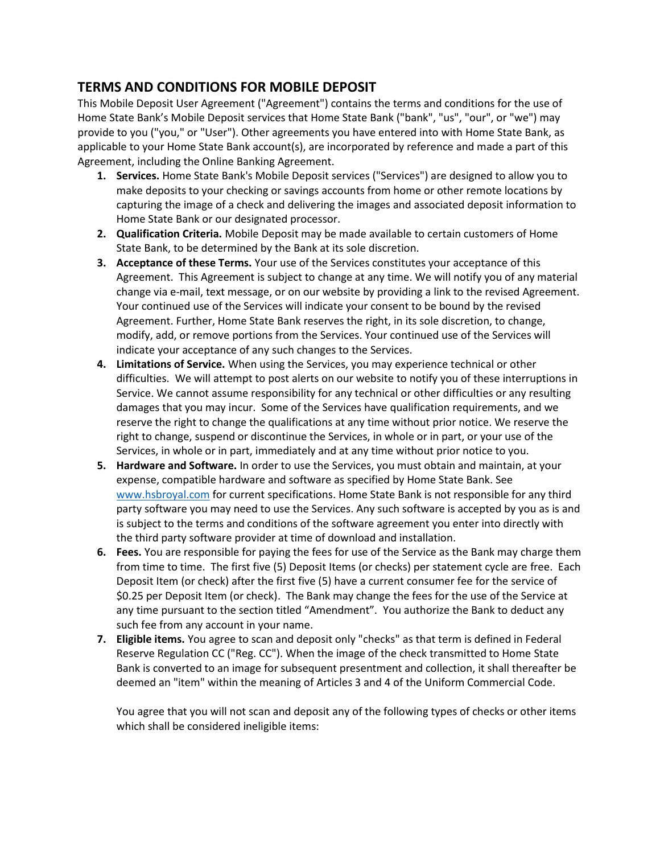## **TERMS AND CONDITIONS FOR MOBILE DEPOSIT**

This Mobile Deposit User Agreement ("Agreement") contains the terms and conditions for the use of Home State Bank's Mobile Deposit services that Home State Bank ("bank", "us", "our", or "we") may provide to you ("you," or "User"). Other agreements you have entered into with Home State Bank, as applicable to your Home State Bank account(s), are incorporated by reference and made a part of this Agreement, including the Online Banking Agreement.

- **1. Services.** Home State Bank's Mobile Deposit services ("Services") are designed to allow you to make deposits to your checking or savings accounts from home or other remote locations by capturing the image of a check and delivering the images and associated deposit information to Home State Bank or our designated processor.
- **2. Qualification Criteria.** Mobile Deposit may be made available to certain customers of Home State Bank, to be determined by the Bank at its sole discretion.
- **3. Acceptance of these Terms.** Your use of the Services constitutes your acceptance of this Agreement. This Agreement is subject to change at any time. We will notify you of any material change via e‐mail, text message, or on our website by providing a link to the revised Agreement. Your continued use of the Services will indicate your consent to be bound by the revised Agreement. Further, Home State Bank reserves the right, in its sole discretion, to change, modify, add, or remove portions from the Services. Your continued use of the Services will indicate your acceptance of any such changes to the Services.
- **4. Limitations of Service.** When using the Services, you may experience technical or other difficulties. We will attempt to post alerts on our website to notify you of these interruptions in Service. We cannot assume responsibility for any technical or other difficulties or any resulting damages that you may incur. Some of the Services have qualification requirements, and we reserve the right to change the qualifications at any time without prior notice. We reserve the right to change, suspend or discontinue the Services, in whole or in part, or your use of the Services, in whole or in part, immediately and at any time without prior notice to you.
- **5. Hardware and Software.** In order to use the Services, you must obtain and maintain, at your expense, compatible hardware and software as specified by Home State Bank. See [www.hsbroyal.com](http://www.hsbroyal.com/) for current specifications. Home State Bank is not responsible for any third party software you may need to use the Services. Any such software is accepted by you as is and is subject to the terms and conditions of the software agreement you enter into directly with the third party software provider at time of download and installation.
- **6. Fees.** You are responsible for paying the fees for use of the Service as the Bank may charge them from time to time. The first five (5) Deposit Items (or checks) per statement cycle are free. Each Deposit Item (or check) after the first five (5) have a current consumer fee for the service of \$0.25 per Deposit Item (or check). The Bank may change the fees for the use of the Service at any time pursuant to the section titled "Amendment". You authorize the Bank to deduct any such fee from any account in your name.
- **7. Eligible items.** You agree to scan and deposit only "checks" as that term is defined in Federal Reserve Regulation CC ("Reg. CC"). When the image of the check transmitted to Home State Bank is converted to an image for subsequent presentment and collection, it shall thereafter be deemed an "item" within the meaning of Articles 3 and 4 of the Uniform Commercial Code.

You agree that you will not scan and deposit any of the following types of checks or other items which shall be considered ineligible items: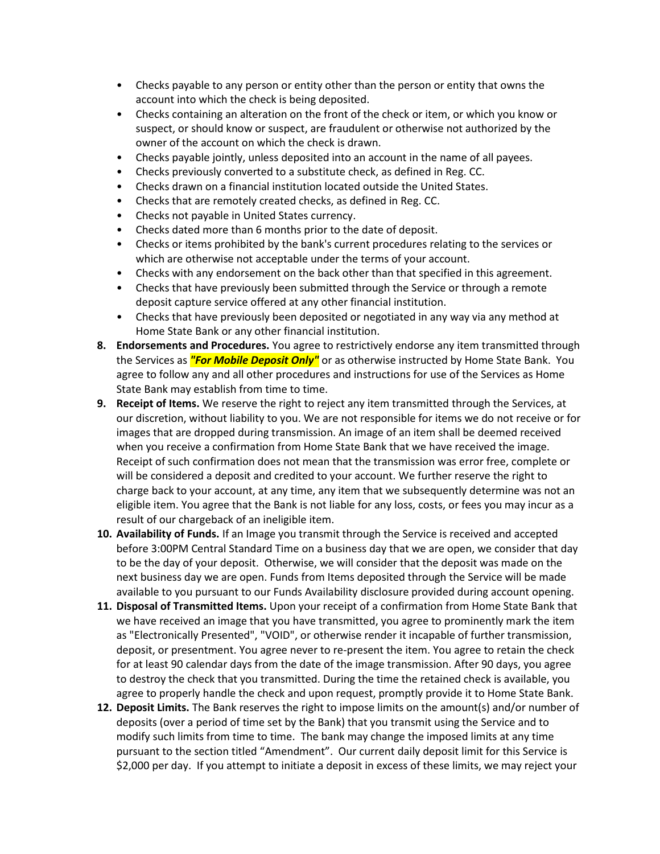- Checks payable to any person or entity other than the person or entity that owns the account into which the check is being deposited.
- Checks containing an alteration on the front of the check or item, or which you know or suspect, or should know or suspect, are fraudulent or otherwise not authorized by the owner of the account on which the check is drawn.
- Checks payable jointly, unless deposited into an account in the name of all payees.
- Checks previously converted to a substitute check, as defined in Reg. CC.
- Checks drawn on a financial institution located outside the United States.
- Checks that are remotely created checks, as defined in Reg. CC.
- Checks not payable in United States currency.
- Checks dated more than 6 months prior to the date of deposit.
- Checks or items prohibited by the bank's current procedures relating to the services or which are otherwise not acceptable under the terms of your account.
- Checks with any endorsement on the back other than that specified in this agreement.
- Checks that have previously been submitted through the Service or through a remote deposit capture service offered at any other financial institution.
- Checks that have previously been deposited or negotiated in any way via any method at Home State Bank or any other financial institution.
- **8. Endorsements and Procedures.** You agree to restrictively endorse any item transmitted through the Services as *"For Mobile Deposit Only"* or as otherwise instructed by Home State Bank. You agree to follow any and all other procedures and instructions for use of the Services as Home State Bank may establish from time to time.
- **9. Receipt of Items.** We reserve the right to reject any item transmitted through the Services, at our discretion, without liability to you. We are not responsible for items we do not receive or for images that are dropped during transmission. An image of an item shall be deemed received when you receive a confirmation from Home State Bank that we have received the image. Receipt of such confirmation does not mean that the transmission was error free, complete or will be considered a deposit and credited to your account. We further reserve the right to charge back to your account, at any time, any item that we subsequently determine was not an eligible item. You agree that the Bank is not liable for any loss, costs, or fees you may incur as a result of our chargeback of an ineligible item.
- **10. Availability of Funds.** If an Image you transmit through the Service is received and accepted before 3:00PM Central Standard Time on a business day that we are open, we consider that day to be the day of your deposit. Otherwise, we will consider that the deposit was made on the next business day we are open. Funds from Items deposited through the Service will be made available to you pursuant to our Funds Availability disclosure provided during account opening.
- **11. Disposal of Transmitted Items.** Upon your receipt of a confirmation from Home State Bank that we have received an image that you have transmitted, you agree to prominently mark the item as "Electronically Presented", "VOID", or otherwise render it incapable of further transmission, deposit, or presentment. You agree never to re‐present the item. You agree to retain the check for at least 90 calendar days from the date of the image transmission. After 90 days, you agree to destroy the check that you transmitted. During the time the retained check is available, you agree to properly handle the check and upon request, promptly provide it to Home State Bank.
- **12. Deposit Limits.** The Bank reserves the right to impose limits on the amount(s) and/or number of deposits (over a period of time set by the Bank) that you transmit using the Service and to modify such limits from time to time. The bank may change the imposed limits at any time pursuant to the section titled "Amendment". Our current daily deposit limit for this Service is \$2,000 per day. If you attempt to initiate a deposit in excess of these limits, we may reject your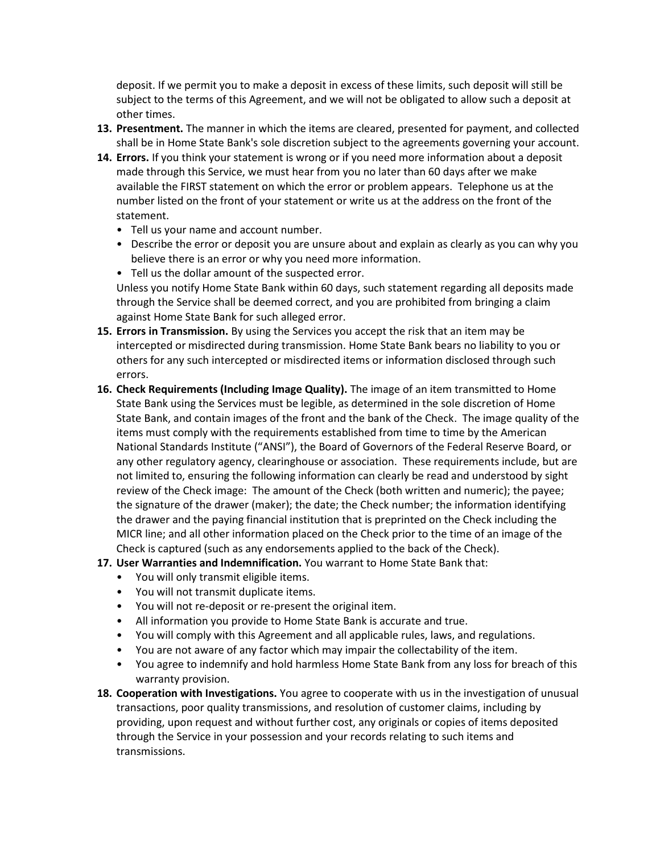deposit. If we permit you to make a deposit in excess of these limits, such deposit will still be subject to the terms of this Agreement, and we will not be obligated to allow such a deposit at other times.

- **13. Presentment.** The manner in which the items are cleared, presented for payment, and collected shall be in Home State Bank's sole discretion subject to the agreements governing your account.
- **14. Errors.** If you think your statement is wrong or if you need more information about a deposit made through this Service, we must hear from you no later than 60 days after we make available the FIRST statement on which the error or problem appears. Telephone us at the number listed on the front of your statement or write us at the address on the front of the statement.
	- Tell us your name and account number.
	- Describe the error or deposit you are unsure about and explain as clearly as you can why you believe there is an error or why you need more information.
	- Tell us the dollar amount of the suspected error.

Unless you notify Home State Bank within 60 days, such statement regarding all deposits made through the Service shall be deemed correct, and you are prohibited from bringing a claim against Home State Bank for such alleged error.

- **15. Errors in Transmission.** By using the Services you accept the risk that an item may be intercepted or misdirected during transmission. Home State Bank bears no liability to you or others for any such intercepted or misdirected items or information disclosed through such errors.
- **16. Check Requirements (Including Image Quality).** The image of an item transmitted to Home State Bank using the Services must be legible, as determined in the sole discretion of Home State Bank, and contain images of the front and the bank of the Check. The image quality of the items must comply with the requirements established from time to time by the American National Standards Institute ("ANSI"), the Board of Governors of the Federal Reserve Board, or any other regulatory agency, clearinghouse or association. These requirements include, but are not limited to, ensuring the following information can clearly be read and understood by sight review of the Check image: The amount of the Check (both written and numeric); the payee; the signature of the drawer (maker); the date; the Check number; the information identifying the drawer and the paying financial institution that is preprinted on the Check including the MICR line; and all other information placed on the Check prior to the time of an image of the Check is captured (such as any endorsements applied to the back of the Check).
- **17. User Warranties and Indemnification.** You warrant to Home State Bank that:
	- You will only transmit eligible items.
	- You will not transmit duplicate items.
	- You will not re‐deposit or re‐present the original item.
	- All information you provide to Home State Bank is accurate and true.
	- You will comply with this Agreement and all applicable rules, laws, and regulations.
	- You are not aware of any factor which may impair the collectability of the item.
	- You agree to indemnify and hold harmless Home State Bank from any loss for breach of this warranty provision.
- **18. Cooperation with Investigations.** You agree to cooperate with us in the investigation of unusual transactions, poor quality transmissions, and resolution of customer claims, including by providing, upon request and without further cost, any originals or copies of items deposited through the Service in your possession and your records relating to such items and transmissions.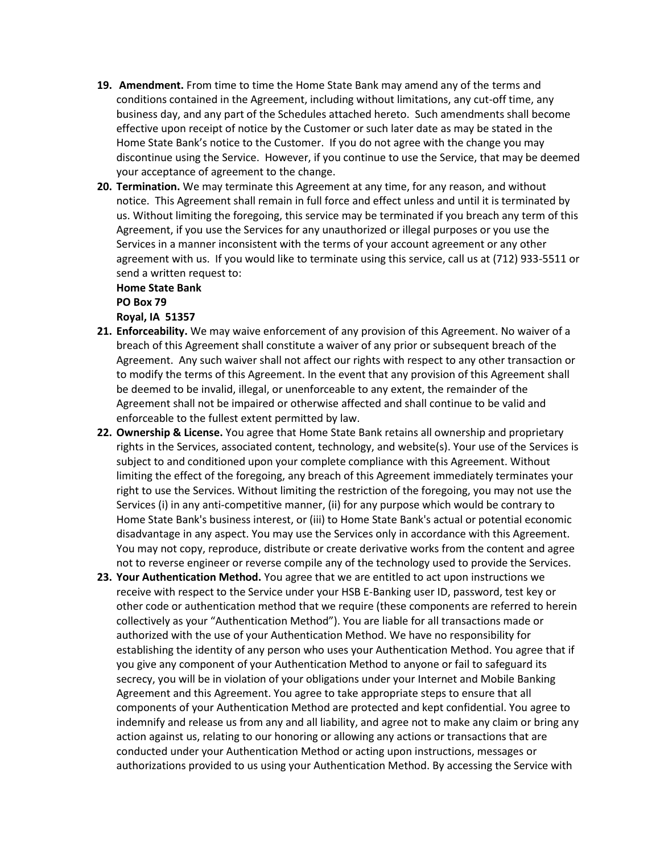- **19. Amendment.** From time to time the Home State Bank may amend any of the terms and conditions contained in the Agreement, including without limitations, any cut-off time, any business day, and any part of the Schedules attached hereto. Such amendments shall become effective upon receipt of notice by the Customer or such later date as may be stated in the Home State Bank's notice to the Customer. If you do not agree with the change you may discontinue using the Service. However, if you continue to use the Service, that may be deemed your acceptance of agreement to the change.
- **20. Termination.** We may terminate this Agreement at any time, for any reason, and without notice. This Agreement shall remain in full force and effect unless and until it is terminated by us. Without limiting the foregoing, this service may be terminated if you breach any term of this Agreement, if you use the Services for any unauthorized or illegal purposes or you use the Services in a manner inconsistent with the terms of your account agreement or any other agreement with us. If you would like to terminate using this service, call us at (712) 933-5511 or send a written request to:

## **Home State Bank PO Box 79**

**Royal, IA 51357**

- **21. Enforceability.** We may waive enforcement of any provision of this Agreement. No waiver of a breach of this Agreement shall constitute a waiver of any prior or subsequent breach of the Agreement. Any such waiver shall not affect our rights with respect to any other transaction or to modify the terms of this Agreement. In the event that any provision of this Agreement shall be deemed to be invalid, illegal, or unenforceable to any extent, the remainder of the Agreement shall not be impaired or otherwise affected and shall continue to be valid and enforceable to the fullest extent permitted by law.
- **22. Ownership & License.** You agree that Home State Bank retains all ownership and proprietary rights in the Services, associated content, technology, and website(s). Your use of the Services is subject to and conditioned upon your complete compliance with this Agreement. Without limiting the effect of the foregoing, any breach of this Agreement immediately terminates your right to use the Services. Without limiting the restriction of the foregoing, you may not use the Services (i) in any anti‐competitive manner, (ii) for any purpose which would be contrary to Home State Bank's business interest, or (iii) to Home State Bank's actual or potential economic disadvantage in any aspect. You may use the Services only in accordance with this Agreement. You may not copy, reproduce, distribute or create derivative works from the content and agree not to reverse engineer or reverse compile any of the technology used to provide the Services.
- **23. Your Authentication Method.** You agree that we are entitled to act upon instructions we receive with respect to the Service under your HSB E-Banking user ID, password, test key or other code or authentication method that we require (these components are referred to herein collectively as your "Authentication Method"). You are liable for all transactions made or authorized with the use of your Authentication Method. We have no responsibility for establishing the identity of any person who uses your Authentication Method. You agree that if you give any component of your Authentication Method to anyone or fail to safeguard its secrecy, you will be in violation of your obligations under your Internet and Mobile Banking Agreement and this Agreement. You agree to take appropriate steps to ensure that all components of your Authentication Method are protected and kept confidential. You agree to indemnify and release us from any and all liability, and agree not to make any claim or bring any action against us, relating to our honoring or allowing any actions or transactions that are conducted under your Authentication Method or acting upon instructions, messages or authorizations provided to us using your Authentication Method. By accessing the Service with